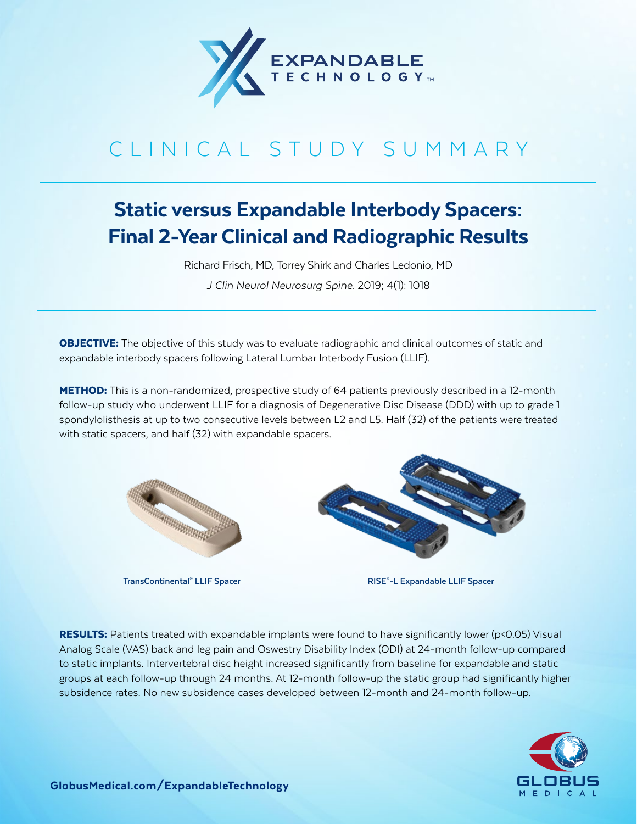

## CLINICAL STUDY SUMMARY

## Static versus Expandable Interbody Spacers: Final 2-Year Clinical and Radiographic Results

Richard Frisch, MD, Torrey Shirk and Charles Ledonio, MD

*J Clin Neurol Neurosurg Spine.* 2019; 4(1): 1018

**OBJECTIVE:** The objective of this study was to evaluate radiographic and clinical outcomes of static and expandable interbody spacers following Lateral Lumbar Interbody Fusion (LLIF).

**METHOD:** This is a non-randomized, prospective study of 64 patients previously described in a 12-month follow-up study who underwent LLIF for a diagnosis of Degenerative Disc Disease (DDD) with up to grade 1 spondylolisthesis at up to two consecutive levels between L2 and L5. Half (32) of the patients were treated with static spacers, and half (32) with expandable spacers.



**TransContinental<sup>®</sup> LLIF Spacer** 



 $RISE<sup>®</sup> - L Expandable LLIF SpaceP$ 

**RESULTS:** Patients treated with expandable implants were found to have significantly lower ( $p$ <0.05) Visual Analog Scale (VAS) back and leg pain and Oswestry Disability Index (ODI) at 24-month follow-up compared to static implants. Intervertebral disc height increased significantly from baseline for expandable and static groups at each follow-up through 24 months. At 12-month follow-up the static group had significantly higher subsidence rates. No new subsidence cases developed between 12-month and 24-month follow-up.